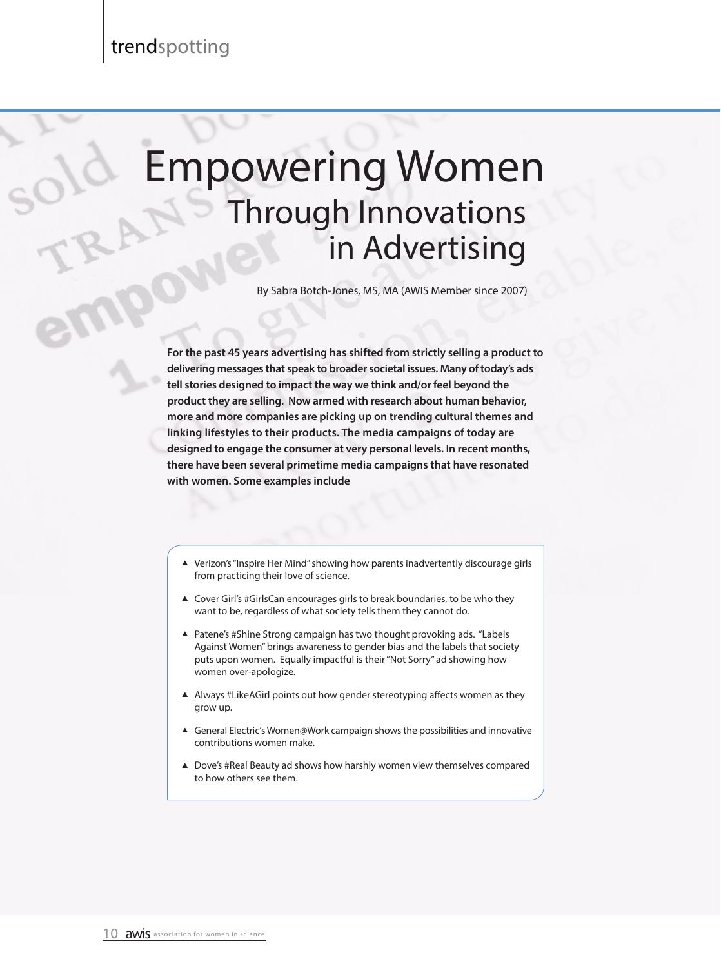$O_{10}$ 

## Empowering Women Through Innovations in Advertising

By Sabra Botch-Jones, MS, MA (AWIS Member since 2007)

**For the past 45 years advertising has shifted from strictly selling a product to delivering messages that speak to broader societal issues. Many of today's ads tell stories designed to impact the way we think and/or feel beyond the product they are selling. Now armed with research about human behavior, more and more companies are picking up on trending cultural themes and linking lifestyles to their products. The media campaigns of today are designed to engage the consumer at very personal levels. In recent months, there have been several primetime media campaigns that have resonated with women. Some examples include**

- ▲ Verizon's "Inspire Her Mind" showing how parents inadvertently discourage girls from practicing their love of science.
- ▲ Cover Girl's #GirlsCan encourages girls to break boundaries, to be who they want to be, regardless of what society tells them they cannot do.
- ▲ Patene's #Shine Strong campaign has two thought provoking ads. "Labels Against Women" brings awareness to gender bias and the labels that society puts upon women. Equally impactful is their "Not Sorry" ad showing how women over-apologize.
- A Always #LikeAGirl points out how gender stereotyping affects women as they grow up.
- ▲ General Electric's Women@Work campaign shows the possibilities and innovative contributions women make.
- $\triangle$  Dove's #Real Beauty ad shows how harshly women view themselves compared to how others see them.